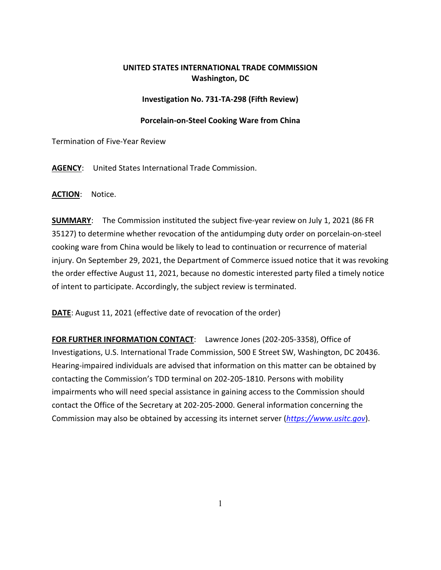## **UNITED STATES INTERNATIONAL TRADE COMMISSION Washington, DC**

## **Investigation No. 731-TA-298 (Fifth Review)**

## **Porcelain-on-Steel Cooking Ware from China**

Termination of Five-Year Review

**AGENCY**: United States International Trade Commission.

**ACTION**: Notice.

**SUMMARY**: The Commission instituted the subject five-year review on July 1, 2021 (86 FR 35127) to determine whether revocation of the antidumping duty order on porcelain-on-steel cooking ware from China would be likely to lead to continuation or recurrence of material injury. On September 29, 2021, the Department of Commerce issued notice that it was revoking the order effective August 11, 2021, because no domestic interested party filed a timely notice of intent to participate. Accordingly, the subject review is terminated.

**DATE**: August 11, 2021 (effective date of revocation of the order)

**FOR FURTHER INFORMATION CONTACT**: Lawrence Jones (202-205-3358), Office of Investigations, U.S. International Trade Commission, 500 E Street SW, Washington, DC 20436. Hearing-impaired individuals are advised that information on this matter can be obtained by contacting the Commission's TDD terminal on 202-205-1810. Persons with mobility impairments who will need special assistance in gaining access to the Commission should contact the Office of the Secretary at 202-205-2000. General information concerning the Commission may also be obtained by accessing its internet server (*[https://www.usitc.gov](https://www.usitc.gov/)*).